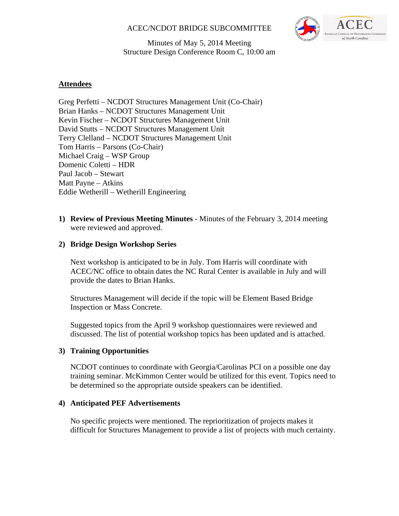## ACEC/NCDOT BRIDGE SUBCOMMITTEE



Minutes of May 5, 2014 Meeting Structure Design Conference Room C, 10:00 am

## **Attendees**

Greg Perfetti – NCDOT Structures Management Unit (Co-Chair) Brian Hanks – NCDOT Structures Management Unit Kevin Fischer – NCDOT Structures Management Unit David Stutts – NCDOT Structures Management Unit Terry Clelland – NCDOT Structures Management Unit Tom Harris – Parsons (Co-Chair) Michael Craig – WSP Group Domenic Coletti – HDR Paul Jacob – Stewart Matt Payne – Atkins Eddie Wetherill – Wetherill Engineering

**1) Review of Previous Meeting Minutes** - Minutes of the February 3, 2014 meeting were reviewed and approved.

#### **2) Bridge Design Workshop Series**

Next workshop is anticipated to be in July. Tom Harris will coordinate with ACEC/NC office to obtain dates the NC Rural Center is available in July and will provide the dates to Brian Hanks.

Structures Management will decide if the topic will be Element Based Bridge Inspection or Mass Concrete.

Suggested topics from the April 9 workshop questionnaires were reviewed and discussed. The list of potential workshop topics has been updated and is attached.

#### **3) Training Opportunities**

NCDOT continues to coordinate with Georgia/Carolinas PCI on a possible one day training seminar. McKimmon Center would be utilized for this event. Topics need to be determined so the appropriate outside speakers can be identified.

#### **4) Anticipated PEF Advertisements**

No specific projects were mentioned. The reprioritization of projects makes it difficult for Structures Management to provide a list of projects with much certainty.